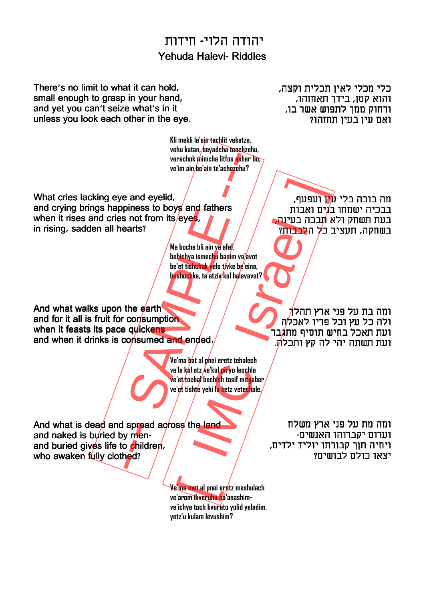## יהודה הלוי- חידות Yehuda Halevi- Riddles

There's no limit to what it can hold, small enough to grasp in your hand, and yet you can't seize what's in it unless you look each other in the eye.

> **Kli mekli le'ein tachlit vekatze, vehu katan, beyadcha teachzehu, verachok mimcha litfos asher bo, ve'im ain be'ain te'achezehu?**

כלי מכלי לאין תכלית וקצה, והוא קטן, בידך תאחזהו, ורחוק ממך לתפוש אשר בו, ואם עין בעין תחזהו?

What cries lacking eye and eyelid, and crying brings happiness to boys and fathers when it rises and cries not from its/eyes, in rising, sadden all hearts? verachak mimcha litfas esher bay<br>
ve'im ain be'ain te'achezehu?<br>
ve'im ain be'ain te'achezehu?<br>
e and eyelid,<br>
piness to boys and fathers<br>
s not from its eyes.<br>
Ma bache bli ain ve'ard.<br>
leat tishoutha, ta'atziy kel brive

**Ma boche bli ain ve'afaf, bebichya ismechu banim ve'avot be'et tishchak velo tivke be'eina, beshochka, ta'atziv kol halevavot?** ירועפעף,<br>
Pyes, the did in ye afat,<br>
a boche bii ain ye afat,<br>
ichya ismecho barim velavot<br>
et tishekyelo tyke by'eina,<br>
et tishekyelo tyke by'eina,<br>
et tishekyelo tyke by'eina,<br>
et tishekyelo tyke ko'eina,<br>
ichya ismecho

מה בוכה בלי ע*י*ן ועפעף, בבכיה ישמחו ב**'**נים ואבות בעת תשחק ולא **ת**בכה בעינה בשחקה, תעציב כל הלבבות?

And what walks upon the earth and for it all is fruit for consumption when it feasts its pace quickens and when it drinks is consumed and ended.

> **Ve'ma bat al pnei eretz tehalech ve'la kol etz ve'kol piryo leochla ve'et tochal bechish tosif mitgaber ve'et tishte yehi la ketz vetechale.**

ומה בת על פני ארץ תהלך ולה כל עץ וכל פריו לאכלה ועת תאכל בחיש תוסיף מתגבר ועת תשתה יהי לה קץ ותכל**ה**.

And what is dead and spread across the land and naked is buried by menand buried gives life to children, who awaken fully clothed?

ומה מת על פני ארץ משלח וערום יקברוהו האנשים- ויחיה תןך קבורתו יוליד ילדים, יצאו כולם לבושים?

**Ve'ma met al pnei eretz meshulach ve'arom ikveruhu ha'anashimve'ichye toch kvurato yolid yeladim, yetz'u kulam levushim?**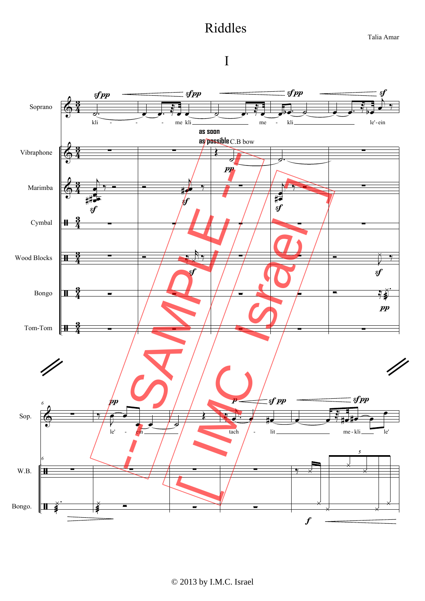## Riddles

Talia Amar

## I

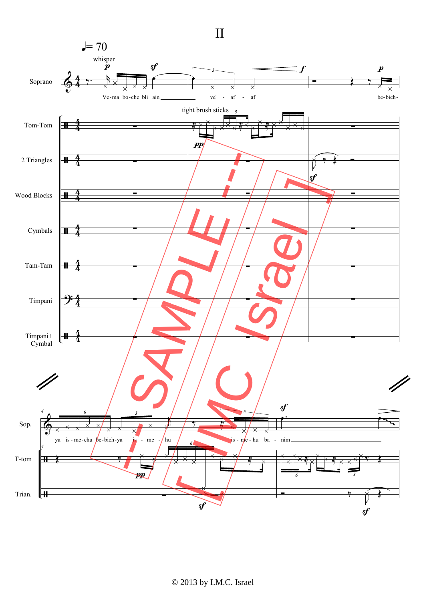